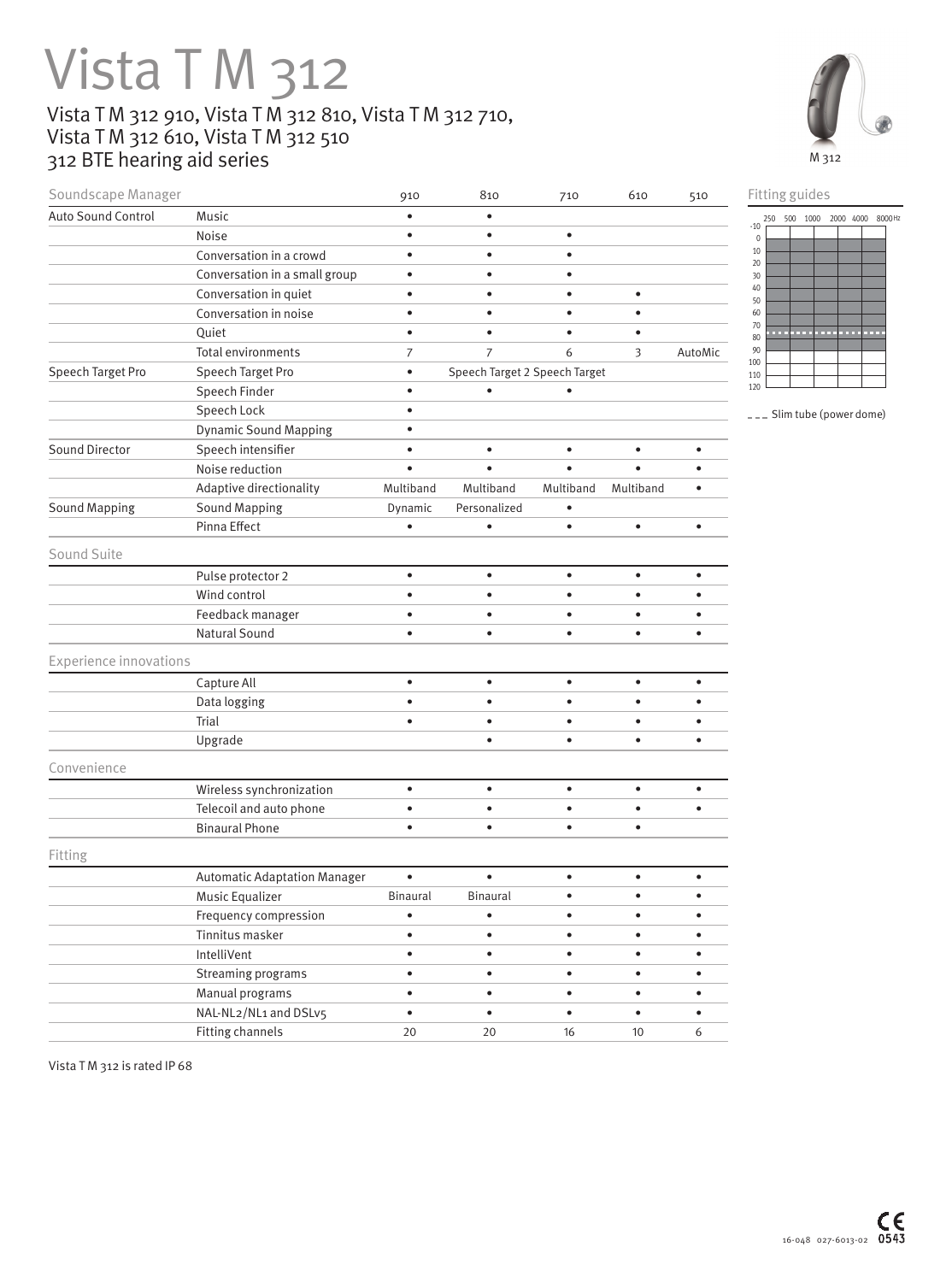## Vista T M 312 Vista T M 312 910, Vista T M 312 810, Vista T M 312 710, Vista T M 312 610, Vista T M 312 510

Soundscape Manager **910** 910 810 710 610 510

312 BTE hearing aid series



Fitting guides

| Auto Sound Control            | Music                               | $\bullet$       | $\bullet$                     |           |           |           | 250 500 1000 2000 4000 8000 Hz   |
|-------------------------------|-------------------------------------|-----------------|-------------------------------|-----------|-----------|-----------|----------------------------------|
|                               | Noise                               | $\bullet$       | $\bullet$                     | $\bullet$ |           |           | $-10$<br>$\mathbf 0$             |
|                               | Conversation in a crowd             | $\bullet$       | $\bullet$                     | $\bullet$ |           |           | 10<br>$20\,$                     |
|                               | Conversation in a small group       | $\bullet$       | $\bullet$                     | $\bullet$ |           |           | 30                               |
|                               | Conversation in quiet               | $\bullet$       | $\bullet$                     | $\bullet$ | $\bullet$ |           | $40\,$<br>50                     |
|                               | Conversation in noise               | $\bullet$       | $\bullet$                     | $\bullet$ | $\bullet$ |           | 60                               |
|                               | Quiet                               | $\bullet$       | $\bullet$                     | $\bullet$ | ٠         |           | 70<br>.<br>.<br><b>COL</b><br>80 |
|                               | Total environments                  | $\overline{7}$  | $\overline{7}$                | 6         | 3         | AutoMic   | 90<br>100                        |
| Speech Target Pro             | Speech Target Pro                   | $\bullet$       | Speech Target 2 Speech Target |           |           |           | 110                              |
|                               | Speech Finder                       | $\bullet$       | $\bullet$                     | $\bullet$ |           |           | 120                              |
|                               | Speech Lock                         | $\bullet$       |                               |           |           |           | --- Slim tube (power dome)       |
|                               | <b>Dynamic Sound Mapping</b>        | $\bullet$       |                               |           |           |           |                                  |
| Sound Director                | Speech intensifier                  | $\bullet$       | $\bullet$                     | $\bullet$ | $\bullet$ | $\bullet$ |                                  |
|                               | Noise reduction                     | $\bullet$       | $\bullet$                     | $\bullet$ | $\bullet$ | $\bullet$ |                                  |
|                               | Adaptive directionality             | Multiband       | Multiband                     | Multiband | Multiband | $\bullet$ |                                  |
| <b>Sound Mapping</b>          | <b>Sound Mapping</b>                | Dynamic         | Personalized                  | $\bullet$ |           |           |                                  |
|                               | Pinna Effect                        | $\bullet$       | $\bullet$                     | $\bullet$ | $\bullet$ | $\bullet$ |                                  |
| Sound Suite                   |                                     |                 |                               |           |           |           |                                  |
|                               | Pulse protector 2                   | $\bullet$       | $\bullet$                     | $\bullet$ | $\bullet$ | $\bullet$ |                                  |
|                               | Wind control                        | $\bullet$       | $\bullet$                     | $\bullet$ | $\bullet$ | $\bullet$ |                                  |
|                               | Feedback manager                    | $\bullet$       | $\bullet$                     | $\bullet$ | $\bullet$ | $\bullet$ |                                  |
|                               | Natural Sound                       | $\bullet$       | $\bullet$                     | $\bullet$ | $\bullet$ | $\bullet$ |                                  |
| <b>Experience innovations</b> |                                     |                 |                               |           |           |           |                                  |
|                               | Capture All                         | $\bullet$       | $\bullet$                     | $\bullet$ | $\bullet$ | $\bullet$ |                                  |
|                               | Data logging                        | $\bullet$       | $\bullet$                     | $\bullet$ | $\bullet$ | ٠         |                                  |
|                               | Trial                               | $\bullet$       | $\bullet$                     | $\bullet$ | $\bullet$ | $\bullet$ |                                  |
|                               | Upgrade                             |                 | $\bullet$                     | $\bullet$ | $\bullet$ | $\bullet$ |                                  |
| Convenience                   |                                     |                 |                               |           |           |           |                                  |
|                               | Wireless synchronization            | $\bullet$       | $\bullet$                     | $\bullet$ | $\bullet$ | $\bullet$ |                                  |
|                               | Telecoil and auto phone             | $\bullet$       | $\bullet$                     | $\bullet$ | $\bullet$ | $\bullet$ |                                  |
|                               | <b>Binaural Phone</b>               | $\bullet$       | $\bullet$                     | $\bullet$ | $\bullet$ |           |                                  |
| Fitting                       |                                     |                 |                               |           |           |           |                                  |
|                               | <b>Automatic Adaptation Manager</b> | $\bullet$       | $\bullet$                     | $\bullet$ | $\bullet$ | $\bullet$ |                                  |
|                               | Music Equalizer                     | <b>Binaural</b> | <b>Binaural</b>               | $\bullet$ | $\bullet$ | $\bullet$ |                                  |
|                               | Frequency compression               | $\bullet$       | $\bullet$                     | $\bullet$ | $\bullet$ | $\bullet$ |                                  |
|                               | Tinnitus masker                     | $\bullet$       | $\bullet$                     | $\bullet$ | $\bullet$ | $\bullet$ |                                  |
|                               | IntelliVent                         | $\bullet$       | $\bullet$                     | $\bullet$ | $\bullet$ | $\bullet$ |                                  |
|                               | Streaming programs                  | $\bullet$       | $\bullet$                     | $\bullet$ | $\bullet$ | $\bullet$ |                                  |
|                               | Manual programs                     | $\bullet$       | $\bullet$                     | $\bullet$ | $\bullet$ | $\bullet$ |                                  |
|                               | NAL-NL2/NL1 and DSLv5               | $\bullet$       | $\bullet$                     | $\bullet$ | $\bullet$ | $\bullet$ |                                  |
|                               | <b>Fitting channels</b>             | 20              | 20                            | 16        | 10        | 6         |                                  |
|                               |                                     |                 |                               |           |           |           |                                  |

Vista TM 312 is rated IP 68